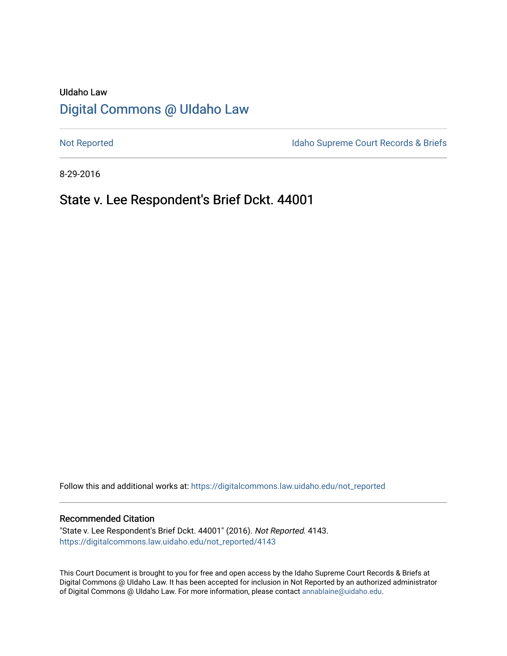# UIdaho Law [Digital Commons @ UIdaho Law](https://digitalcommons.law.uidaho.edu/)

[Not Reported](https://digitalcommons.law.uidaho.edu/not_reported) **Idaho Supreme Court Records & Briefs** 

8-29-2016

# State v. Lee Respondent's Brief Dckt. 44001

Follow this and additional works at: [https://digitalcommons.law.uidaho.edu/not\\_reported](https://digitalcommons.law.uidaho.edu/not_reported?utm_source=digitalcommons.law.uidaho.edu%2Fnot_reported%2F4143&utm_medium=PDF&utm_campaign=PDFCoverPages) 

### Recommended Citation

"State v. Lee Respondent's Brief Dckt. 44001" (2016). Not Reported. 4143. [https://digitalcommons.law.uidaho.edu/not\\_reported/4143](https://digitalcommons.law.uidaho.edu/not_reported/4143?utm_source=digitalcommons.law.uidaho.edu%2Fnot_reported%2F4143&utm_medium=PDF&utm_campaign=PDFCoverPages)

This Court Document is brought to you for free and open access by the Idaho Supreme Court Records & Briefs at Digital Commons @ UIdaho Law. It has been accepted for inclusion in Not Reported by an authorized administrator of Digital Commons @ UIdaho Law. For more information, please contact [annablaine@uidaho.edu](mailto:annablaine@uidaho.edu).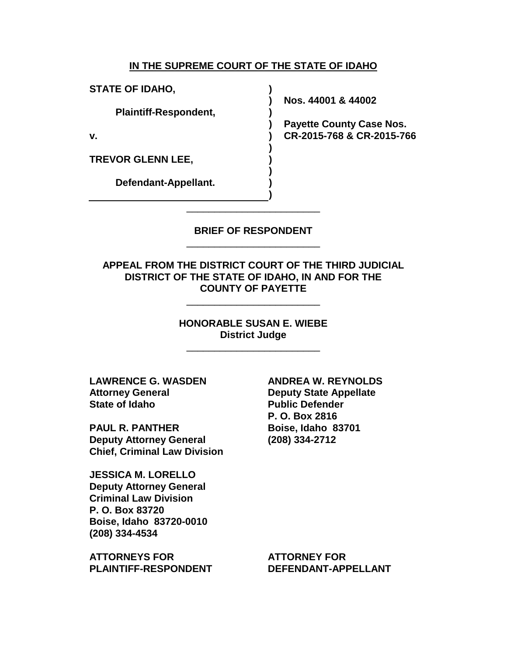## **IN THE SUPREME COURT OF THE STATE OF IDAHO**

**) ) ) ) ) ) ) ) ) )**

**STATE OF IDAHO,**

**Plaintiff-Respondent,**

**v.**

**TREVOR GLENN LEE,**

**Defendant-Appellant.**

**Nos. 44001 & 44002**

**Payette County Case Nos. CR-2015-768 & CR-2015-766**

**BRIEF OF RESPONDENT** \_\_\_\_\_\_\_\_\_\_\_\_\_\_\_\_\_\_\_\_\_\_\_\_

\_\_\_\_\_\_\_\_\_\_\_\_\_\_\_\_\_\_\_\_\_\_\_\_

**APPEAL FROM THE DISTRICT COURT OF THE THIRD JUDICIAL DISTRICT OF THE STATE OF IDAHO, IN AND FOR THE COUNTY OF PAYETTE**

\_\_\_\_\_\_\_\_\_\_\_\_\_\_\_\_\_\_\_\_\_\_\_\_

**HONORABLE SUSAN E. WIEBE District Judge**

\_\_\_\_\_\_\_\_\_\_\_\_\_\_\_\_\_\_\_\_\_\_\_\_

**LAWRENCE G. WASDEN Attorney General State of Idaho**

**PAUL R. PANTHER Deputy Attorney General Chief, Criminal Law Division**

**JESSICA M. LORELLO Deputy Attorney General Criminal Law Division P. O. Box 83720 Boise, Idaho 83720-0010 (208) 334-4534**

**ATTORNEYS FOR PLAINTIFF-RESPONDENT** **ANDREA W. REYNOLDS Deputy State Appellate Public Defender P. O. Box 2816 Boise, Idaho 83701 (208) 334-2712**

**ATTORNEY FOR DEFENDANT-APPELLANT**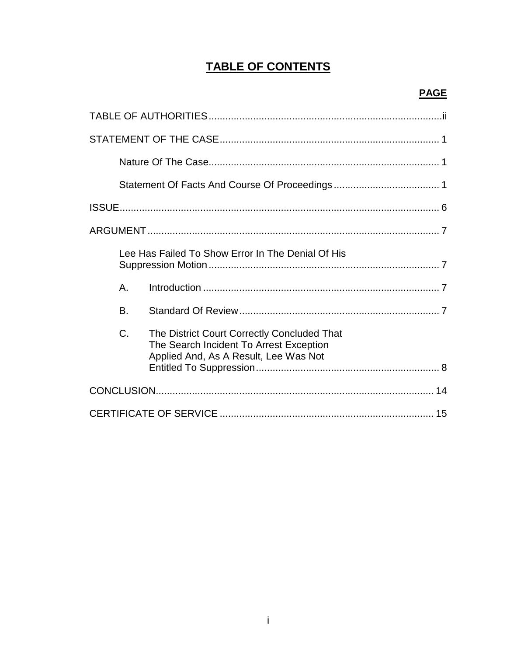# **TABLE OF CONTENTS**

|           | Lee Has Failed To Show Error In The Denial Of His                                                                               |
|-----------|---------------------------------------------------------------------------------------------------------------------------------|
| А.        |                                                                                                                                 |
| <b>B.</b> |                                                                                                                                 |
| C.        | The District Court Correctly Concluded That<br>The Search Incident To Arrest Exception<br>Applied And, As A Result, Lee Was Not |
|           |                                                                                                                                 |
|           |                                                                                                                                 |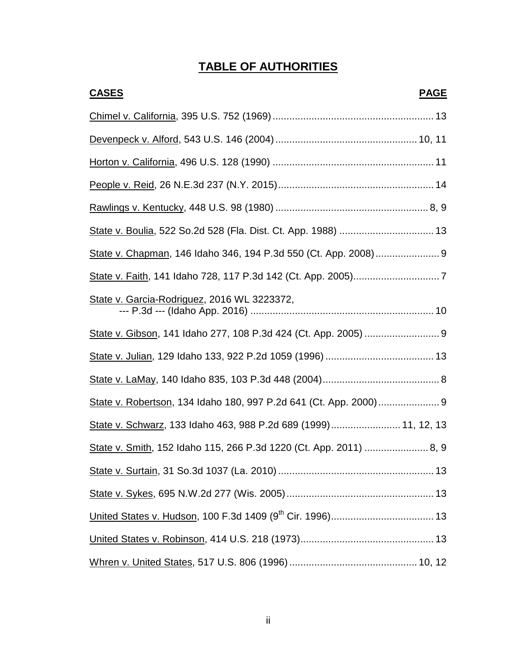# **TABLE OF AUTHORITIES**

| <b>CASES</b><br><b>PAGE</b>                                     |
|-----------------------------------------------------------------|
|                                                                 |
|                                                                 |
|                                                                 |
|                                                                 |
|                                                                 |
| State v. Boulia, 522 So.2d 528 (Fla. Dist. Ct. App. 1988)  13   |
|                                                                 |
|                                                                 |
| State v. Garcia-Rodriguez, 2016 WL 3223372,                     |
|                                                                 |
|                                                                 |
|                                                                 |
|                                                                 |
| State v. Schwarz, 133 Idaho 463, 988 P.2d 689 (1999) 11, 12, 13 |
|                                                                 |
|                                                                 |
|                                                                 |
|                                                                 |
|                                                                 |
|                                                                 |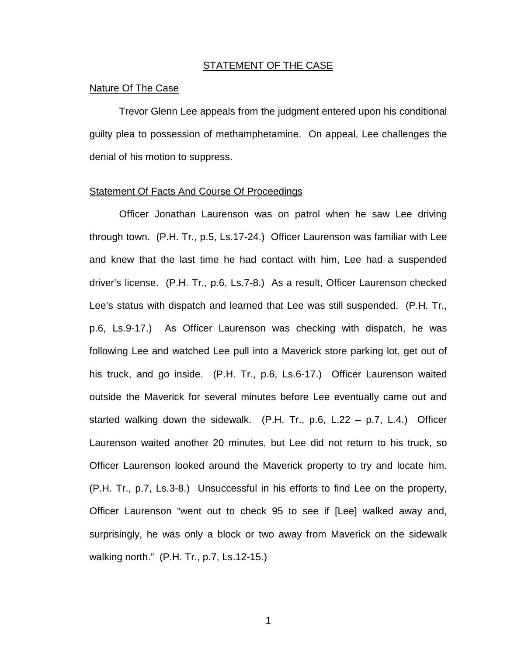#### STATEMENT OF THE CASE

### Nature Of The Case

Trevor Glenn Lee appeals from the judgment entered upon his conditional guilty plea to possession of methamphetamine. On appeal, Lee challenges the denial of his motion to suppress.

## Statement Of Facts And Course Of Proceedings

Officer Jonathan Laurenson was on patrol when he saw Lee driving through town. (P.H. Tr., p.5, Ls.17-24.) Officer Laurenson was familiar with Lee and knew that the last time he had contact with him, Lee had a suspended driver's license. (P.H. Tr., p.6, Ls.7-8.) As a result, Officer Laurenson checked Lee's status with dispatch and learned that Lee was still suspended. (P.H. Tr., p.6, Ls.9-17.) As Officer Laurenson was checking with dispatch, he was following Lee and watched Lee pull into a Maverick store parking lot, get out of his truck, and go inside. (P.H. Tr., p.6, Ls.6-17.) Officer Laurenson waited outside the Maverick for several minutes before Lee eventually came out and started walking down the sidewalk. (P.H. Tr., p.6, L.22 – p.7, L.4.) Officer Laurenson waited another 20 minutes, but Lee did not return to his truck, so Officer Laurenson looked around the Maverick property to try and locate him. (P.H. Tr., p.7, Ls.3-8.) Unsuccessful in his efforts to find Lee on the property, Officer Laurenson "went out to check 95 to see if [Lee] walked away and, surprisingly, he was only a block or two away from Maverick on the sidewalk walking north." (P.H. Tr., p.7, Ls.12-15.)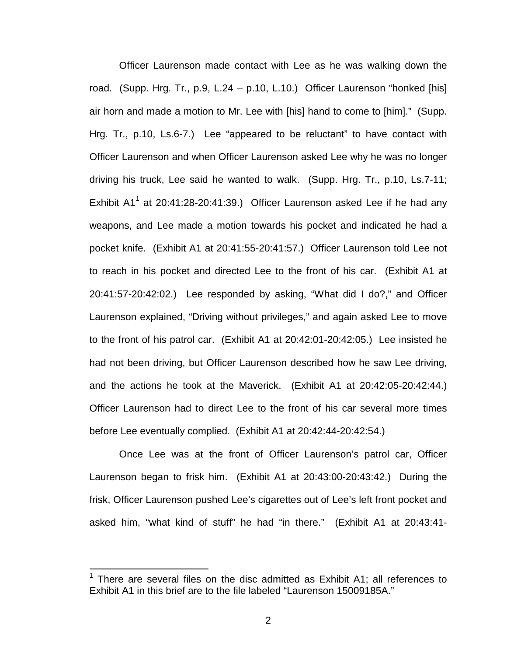Officer Laurenson made contact with Lee as he was walking down the road. (Supp. Hrg. Tr., p.9, L.24 – p.10, L.10.) Officer Laurenson "honked [his] air horn and made a motion to Mr. Lee with [his] hand to come to [him]." (Supp. Hrg. Tr., p.10, Ls.6-7.) Lee "appeared to be reluctant" to have contact with Officer Laurenson and when Officer Laurenson asked Lee why he was no longer driving his truck, Lee said he wanted to walk. (Supp. Hrg. Tr., p.10, Ls.7-11; Exhibit A[1](#page-5-0)<sup>1</sup> at 20:41:28-20:41:39.) Officer Laurenson asked Lee if he had any weapons, and Lee made a motion towards his pocket and indicated he had a pocket knife. (Exhibit A1 at 20:41:55-20:41:57.) Officer Laurenson told Lee not to reach in his pocket and directed Lee to the front of his car. (Exhibit A1 at 20:41:57-20:42:02.) Lee responded by asking, "What did I do?," and Officer Laurenson explained, "Driving without privileges," and again asked Lee to move to the front of his patrol car. (Exhibit A1 at 20:42:01-20:42:05.) Lee insisted he had not been driving, but Officer Laurenson described how he saw Lee driving, and the actions he took at the Maverick. (Exhibit A1 at 20:42:05-20:42:44.) Officer Laurenson had to direct Lee to the front of his car several more times before Lee eventually complied. (Exhibit A1 at 20:42:44-20:42:54.)

Once Lee was at the front of Officer Laurenson's patrol car, Officer Laurenson began to frisk him. (Exhibit A1 at 20:43:00-20:43:42.) During the frisk, Officer Laurenson pushed Lee's cigarettes out of Lee's left front pocket and asked him, "what kind of stuff" he had "in there." (Exhibit A1 at 20:43:41-

 $\overline{\phantom{a}}$ 

<span id="page-5-0"></span><sup>&</sup>lt;sup>1</sup> There are several files on the disc admitted as Exhibit A1: all references to Exhibit A1 in this brief are to the file labeled "Laurenson 15009185A."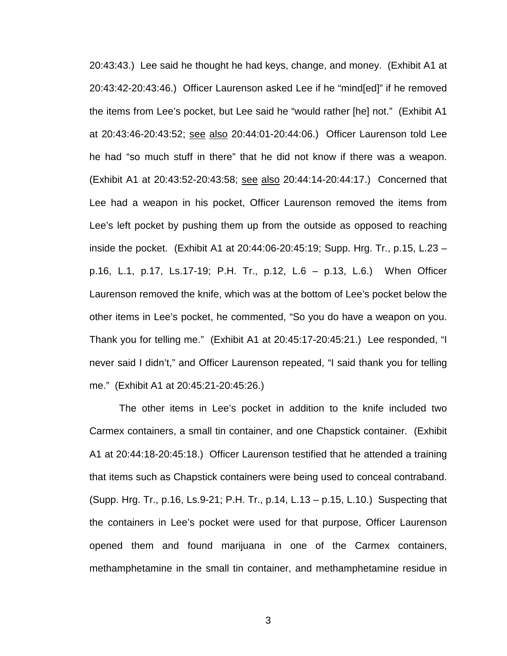20:43:43.) Lee said he thought he had keys, change, and money. (Exhibit A1 at 20:43:42-20:43:46.) Officer Laurenson asked Lee if he "mind[ed]" if he removed the items from Lee's pocket, but Lee said he "would rather [he] not." (Exhibit A1 at 20:43:46-20:43:52; see also 20:44:01-20:44:06.) Officer Laurenson told Lee he had "so much stuff in there" that he did not know if there was a weapon. (Exhibit A1 at 20:43:52-20:43:58; see also 20:44:14-20:44:17.) Concerned that Lee had a weapon in his pocket, Officer Laurenson removed the items from Lee's left pocket by pushing them up from the outside as opposed to reaching inside the pocket. (Exhibit A1 at 20:44:06-20:45:19; Supp. Hrg. Tr., p.15, L.23 – p.16, L.1, p.17, Ls.17-19; P.H. Tr., p.12, L.6 – p.13, L.6.) When Officer Laurenson removed the knife, which was at the bottom of Lee's pocket below the other items in Lee's pocket, he commented, "So you do have a weapon on you. Thank you for telling me." (Exhibit A1 at 20:45:17-20:45:21.) Lee responded, "I never said I didn't," and Officer Laurenson repeated, "I said thank you for telling me." (Exhibit A1 at 20:45:21-20:45:26.)

The other items in Lee's pocket in addition to the knife included two Carmex containers, a small tin container, and one Chapstick container. (Exhibit A1 at 20:44:18-20:45:18.) Officer Laurenson testified that he attended a training that items such as Chapstick containers were being used to conceal contraband. (Supp. Hrg. Tr., p.16, Ls.9-21; P.H. Tr., p.14, L.13 – p.15, L.10.) Suspecting that the containers in Lee's pocket were used for that purpose, Officer Laurenson opened them and found marijuana in one of the Carmex containers, methamphetamine in the small tin container, and methamphetamine residue in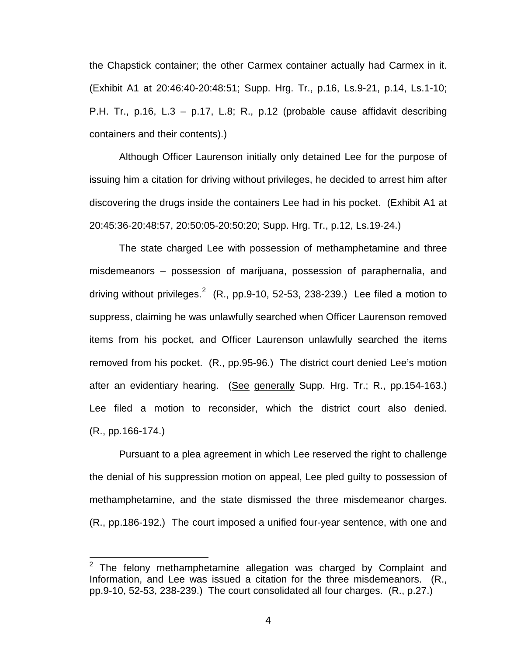the Chapstick container; the other Carmex container actually had Carmex in it. (Exhibit A1 at 20:46:40-20:48:51; Supp. Hrg. Tr., p.16, Ls.9-21, p.14, Ls.1-10; P.H. Tr., p.16, L.3 – p.17, L.8; R., p.12 (probable cause affidavit describing containers and their contents).)

Although Officer Laurenson initially only detained Lee for the purpose of issuing him a citation for driving without privileges, he decided to arrest him after discovering the drugs inside the containers Lee had in his pocket. (Exhibit A1 at 20:45:36-20:48:57, 20:50:05-20:50:20; Supp. Hrg. Tr., p.12, Ls.19-24.)

The state charged Lee with possession of methamphetamine and three misdemeanors – possession of marijuana, possession of paraphernalia, and driving without privileges.<sup>[2](#page-7-0)</sup> (R., pp.9-10, 52-53, 238-239.) Lee filed a motion to suppress, claiming he was unlawfully searched when Officer Laurenson removed items from his pocket, and Officer Laurenson unlawfully searched the items removed from his pocket. (R., pp.95-96.) The district court denied Lee's motion after an evidentiary hearing. (See generally Supp. Hrg. Tr.; R., pp.154-163.) Lee filed a motion to reconsider, which the district court also denied. (R., pp.166-174.)

Pursuant to a plea agreement in which Lee reserved the right to challenge the denial of his suppression motion on appeal, Lee pled guilty to possession of methamphetamine, and the state dismissed the three misdemeanor charges. (R., pp.186-192.) The court imposed a unified four-year sentence, with one and

 $\overline{\phantom{a}}$ 

<span id="page-7-0"></span>The felony methamphetamine allegation was charged by Complaint and Information, and Lee was issued a citation for the three misdemeanors. (R., pp.9-10, 52-53, 238-239.) The court consolidated all four charges. (R., p.27.)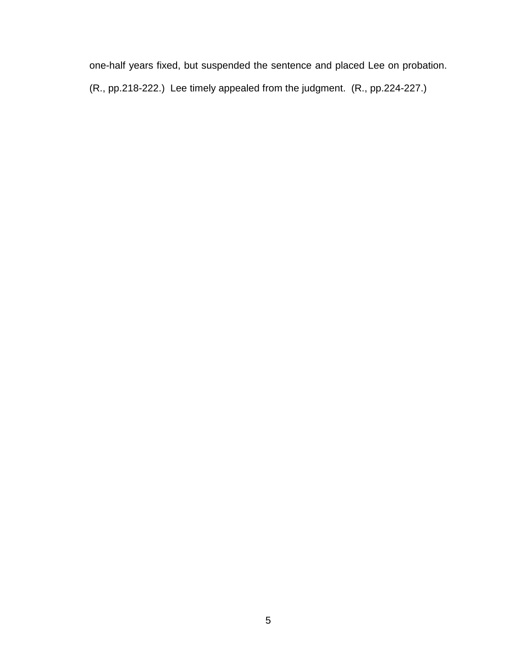one-half years fixed, but suspended the sentence and placed Lee on probation. (R., pp.218-222.) Lee timely appealed from the judgment. (R., pp.224-227.)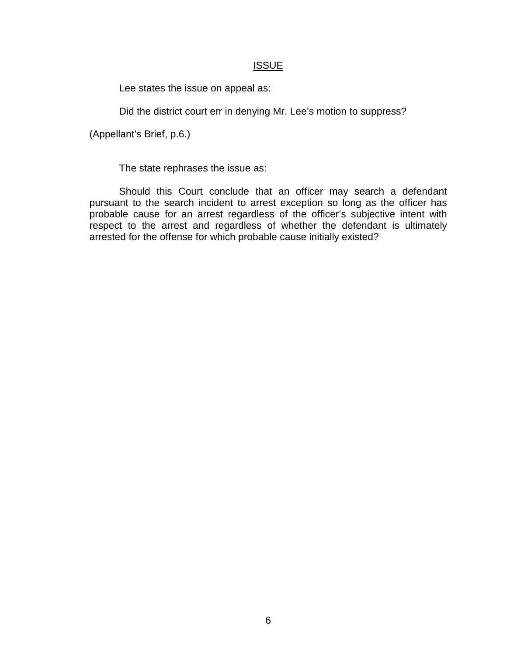# **ISSUE**

Lee states the issue on appeal as:

Did the district court err in denying Mr. Lee's motion to suppress?

(Appellant's Brief, p.6.)

The state rephrases the issue as:

Should this Court conclude that an officer may search a defendant pursuant to the search incident to arrest exception so long as the officer has probable cause for an arrest regardless of the officer's subjective intent with respect to the arrest and regardless of whether the defendant is ultimately arrested for the offense for which probable cause initially existed?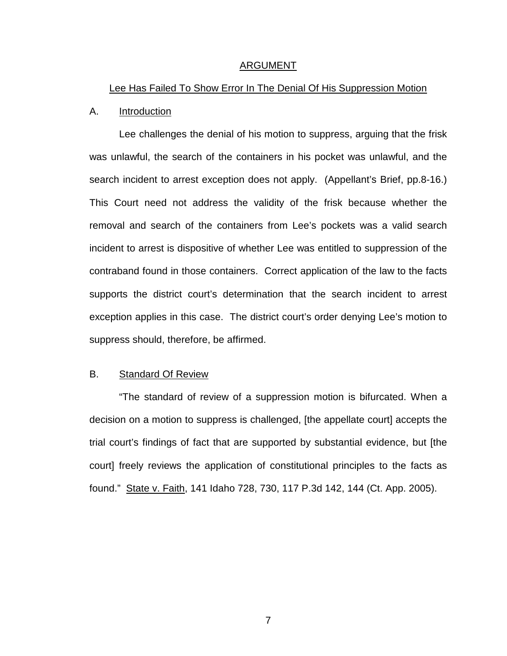### ARGUMENT

### Lee Has Failed To Show Error In The Denial Of His Suppression Motion

### A. Introduction

Lee challenges the denial of his motion to suppress, arguing that the frisk was unlawful, the search of the containers in his pocket was unlawful, and the search incident to arrest exception does not apply. (Appellant's Brief, pp.8-16.) This Court need not address the validity of the frisk because whether the removal and search of the containers from Lee's pockets was a valid search incident to arrest is dispositive of whether Lee was entitled to suppression of the contraband found in those containers. Correct application of the law to the facts supports the district court's determination that the search incident to arrest exception applies in this case. The district court's order denying Lee's motion to suppress should, therefore, be affirmed.

# B. Standard Of Review

"The standard of review of a suppression motion is bifurcated. When a decision on a motion to suppress is challenged, [the appellate court] accepts the trial court's findings of fact that are supported by substantial evidence, but [the court] freely reviews the application of constitutional principles to the facts as found." State v. Faith, 141 Idaho 728, 730, 117 P.3d 142, 144 (Ct. App. 2005).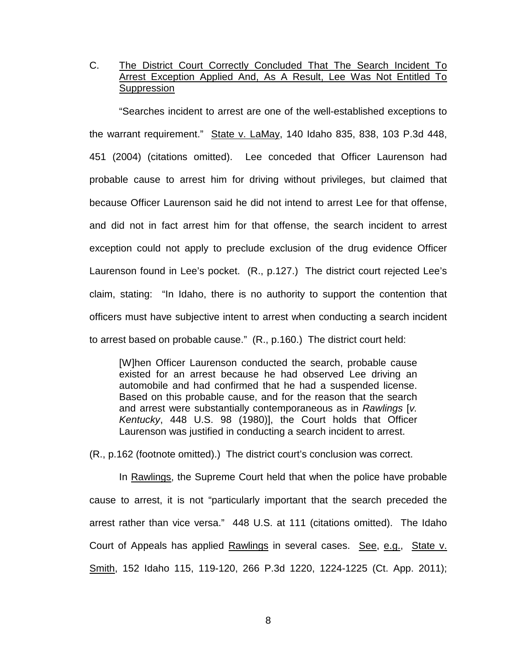# C. The District Court Correctly Concluded That The Search Incident To Arrest Exception Applied And, As A Result, Lee Was Not Entitled To **Suppression**

"Searches incident to arrest are one of the well-established exceptions to the warrant requirement." State v. LaMay, 140 Idaho 835, 838, 103 P.3d 448, 451 (2004) (citations omitted). Lee conceded that Officer Laurenson had probable cause to arrest him for driving without privileges, but claimed that because Officer Laurenson said he did not intend to arrest Lee for that offense, and did not in fact arrest him for that offense, the search incident to arrest exception could not apply to preclude exclusion of the drug evidence Officer Laurenson found in Lee's pocket. (R., p.127.) The district court rejected Lee's claim, stating: "In Idaho, there is no authority to support the contention that officers must have subjective intent to arrest when conducting a search incident to arrest based on probable cause." (R., p.160.) The district court held:

[W]hen Officer Laurenson conducted the search, probable cause existed for an arrest because he had observed Lee driving an automobile and had confirmed that he had a suspended license. Based on this probable cause, and for the reason that the search and arrest were substantially contemporaneous as in *Rawlings* [*v. Kentucky*, 448 U.S. 98 (1980)], the Court holds that Officer Laurenson was justified in conducting a search incident to arrest.

(R., p.162 (footnote omitted).) The district court's conclusion was correct.

In Rawlings, the Supreme Court held that when the police have probable cause to arrest, it is not "particularly important that the search preceded the arrest rather than vice versa." 448 U.S. at 111 (citations omitted). The Idaho Court of Appeals has applied Rawlings in several cases. See, e.g., State v. Smith, 152 Idaho 115, 119-120, 266 P.3d 1220, 1224-1225 (Ct. App. 2011);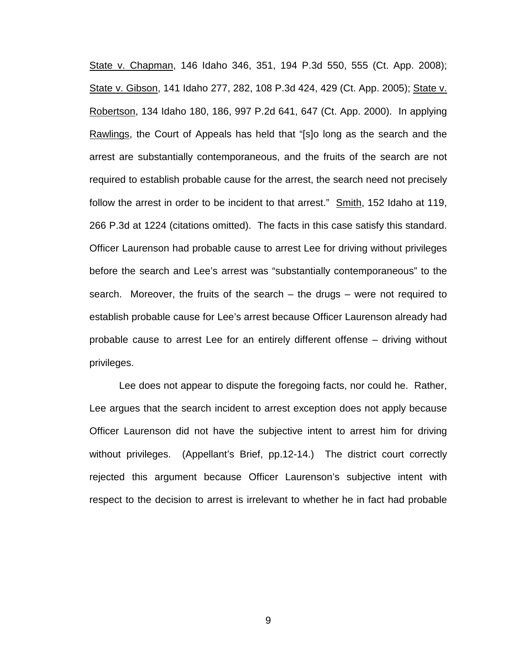State v. Chapman, 146 Idaho 346, 351, 194 P.3d 550, 555 (Ct. App. 2008); State v. Gibson, 141 Idaho 277, 282, 108 P.3d 424, 429 (Ct. App. 2005); State v. Robertson, 134 Idaho 180, 186, 997 P.2d 641, 647 (Ct. App. 2000). In applying Rawlings, the Court of Appeals has held that "[s]o long as the search and the arrest are substantially contemporaneous, and the fruits of the search are not required to establish probable cause for the arrest, the search need not precisely follow the arrest in order to be incident to that arrest." Smith, 152 Idaho at 119, 266 P.3d at 1224 (citations omitted). The facts in this case satisfy this standard. Officer Laurenson had probable cause to arrest Lee for driving without privileges before the search and Lee's arrest was "substantially contemporaneous" to the search. Moreover, the fruits of the search – the drugs – were not required to establish probable cause for Lee's arrest because Officer Laurenson already had probable cause to arrest Lee for an entirely different offense – driving without privileges.

Lee does not appear to dispute the foregoing facts, nor could he. Rather, Lee argues that the search incident to arrest exception does not apply because Officer Laurenson did not have the subjective intent to arrest him for driving without privileges. (Appellant's Brief, pp.12-14.) The district court correctly rejected this argument because Officer Laurenson's subjective intent with respect to the decision to arrest is irrelevant to whether he in fact had probable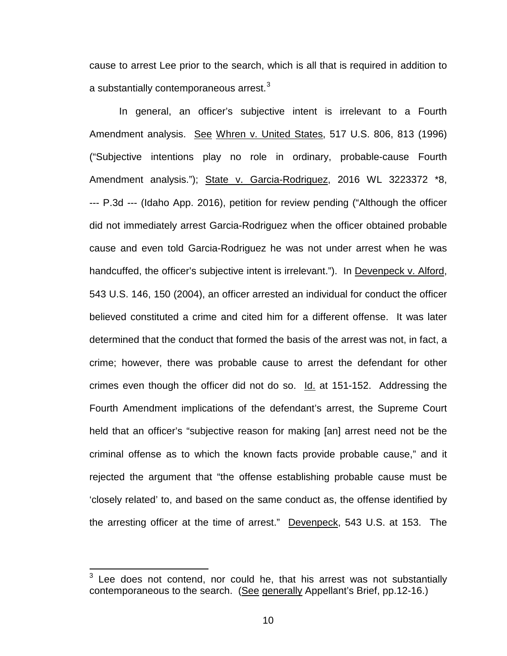cause to arrest Lee prior to the search, which is all that is required in addition to a substantially contemporaneous arrest. $^3$  $^3$ 

In general, an officer's subjective intent is irrelevant to a Fourth Amendment analysis. See Whren v. United States, 517 U.S. 806, 813 (1996) ("Subjective intentions play no role in ordinary, probable-cause Fourth Amendment analysis."); State v. Garcia-Rodriguez, 2016 WL 3223372 \*8, --- P.3d --- (Idaho App. 2016), petition for review pending ("Although the officer did not immediately arrest Garcia-Rodriguez when the officer obtained probable cause and even told Garcia-Rodriguez he was not under arrest when he was handcuffed, the officer's subjective intent is irrelevant."). In Devenpeck v. Alford, 543 U.S. 146, 150 (2004), an officer arrested an individual for conduct the officer believed constituted a crime and cited him for a different offense. It was later determined that the conduct that formed the basis of the arrest was not, in fact, a crime; however, there was probable cause to arrest the defendant for other crimes even though the officer did not do so. Id. at 151-152. Addressing the Fourth Amendment implications of the defendant's arrest, the Supreme Court held that an officer's "subjective reason for making [an] arrest need not be the criminal offense as to which the known facts provide probable cause," and it rejected the argument that "the offense establishing probable cause must be 'closely related' to, and based on the same conduct as, the offense identified by the arresting officer at the time of arrest." Devenpeck, 543 U.S. at 153. The

 $\overline{\phantom{a}}$ 

<span id="page-13-0"></span> $3$  Lee does not contend, nor could he, that his arrest was not substantially contemporaneous to the search. (See generally Appellant's Brief, pp.12-16.)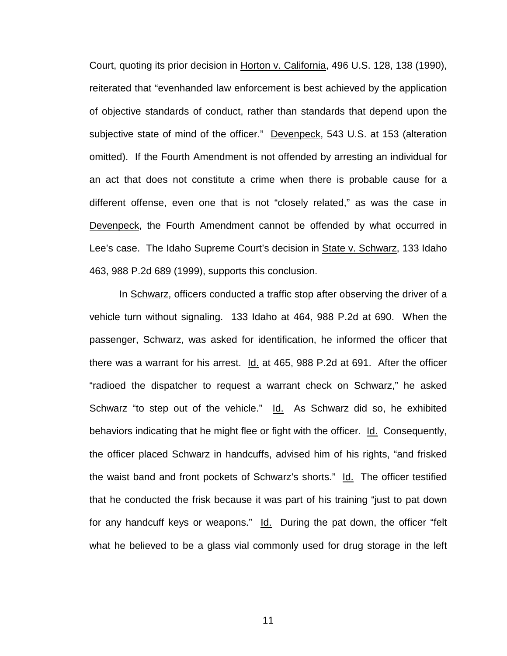Court, quoting its prior decision in Horton v. California, 496 U.S. 128, 138 (1990), reiterated that "evenhanded law enforcement is best achieved by the application of objective standards of conduct, rather than standards that depend upon the subjective state of mind of the officer." Devenpeck, 543 U.S. at 153 (alteration omitted). If the Fourth Amendment is not offended by arresting an individual for an act that does not constitute a crime when there is probable cause for a different offense, even one that is not "closely related," as was the case in Devenpeck, the Fourth Amendment cannot be offended by what occurred in Lee's case. The Idaho Supreme Court's decision in State v. Schwarz, 133 Idaho 463, 988 P.2d 689 (1999), supports this conclusion.

In Schwarz, officers conducted a traffic stop after observing the driver of a vehicle turn without signaling. 133 Idaho at 464, 988 P.2d at 690. When the passenger, Schwarz, was asked for identification, he informed the officer that there was a warrant for his arrest. Id. at 465, 988 P.2d at 691. After the officer "radioed the dispatcher to request a warrant check on Schwarz," he asked Schwarz "to step out of the vehicle." Id. As Schwarz did so, he exhibited behaviors indicating that he might flee or fight with the officer. Id. Consequently, the officer placed Schwarz in handcuffs, advised him of his rights, "and frisked the waist band and front pockets of Schwarz's shorts." Id. The officer testified that he conducted the frisk because it was part of his training "just to pat down for any handcuff keys or weapons." Id. During the pat down, the officer "felt what he believed to be a glass vial commonly used for drug storage in the left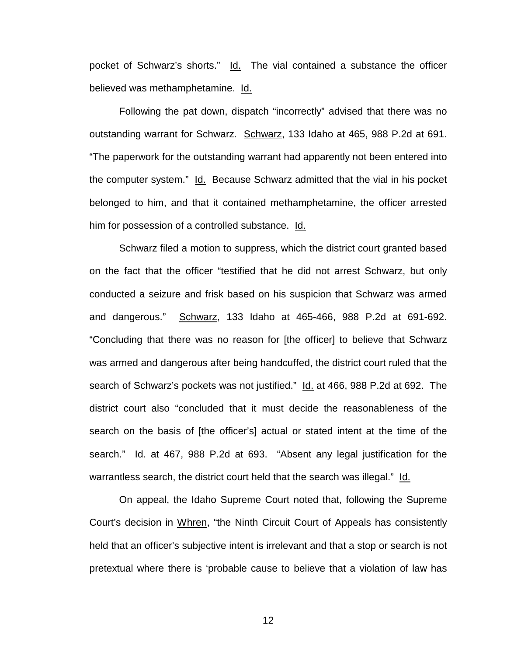pocket of Schwarz's shorts." Id. The vial contained a substance the officer believed was methamphetamine. Id.

Following the pat down, dispatch "incorrectly" advised that there was no outstanding warrant for Schwarz. Schwarz, 133 Idaho at 465, 988 P.2d at 691. "The paperwork for the outstanding warrant had apparently not been entered into the computer system." Id. Because Schwarz admitted that the vial in his pocket belonged to him, and that it contained methamphetamine, the officer arrested him for possession of a controlled substance. Id.

Schwarz filed a motion to suppress, which the district court granted based on the fact that the officer "testified that he did not arrest Schwarz, but only conducted a seizure and frisk based on his suspicion that Schwarz was armed and dangerous." Schwarz, 133 Idaho at 465-466, 988 P.2d at 691-692. "Concluding that there was no reason for [the officer] to believe that Schwarz was armed and dangerous after being handcuffed, the district court ruled that the search of Schwarz's pockets was not justified." Id. at 466, 988 P.2d at 692. The district court also "concluded that it must decide the reasonableness of the search on the basis of [the officer's] actual or stated intent at the time of the search." Id. at 467, 988 P.2d at 693. "Absent any legal justification for the warrantless search, the district court held that the search was illegal." Id.

On appeal, the Idaho Supreme Court noted that, following the Supreme Court's decision in Whren, "the Ninth Circuit Court of Appeals has consistently held that an officer's subjective intent is irrelevant and that a stop or search is not pretextual where there is 'probable cause to believe that a violation of law has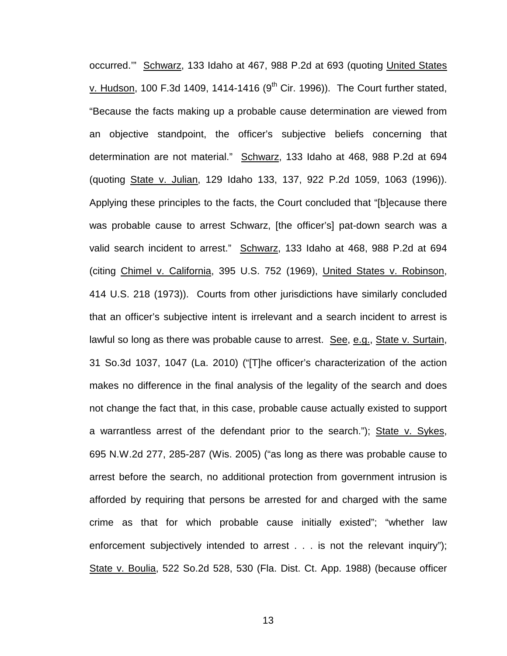occurred.'" Schwarz, 133 Idaho at 467, 988 P.2d at 693 (quoting United States v. Hudson, 100 F.3d 1409, 1414-1416 ( $9<sup>th</sup>$  Cir. 1996)). The Court further stated, "Because the facts making up a probable cause determination are viewed from an objective standpoint, the officer's subjective beliefs concerning that determination are not material." Schwarz, 133 Idaho at 468, 988 P.2d at 694 (quoting State v. Julian, 129 Idaho 133, 137, 922 P.2d 1059, 1063 (1996)). Applying these principles to the facts, the Court concluded that "[b]ecause there was probable cause to arrest Schwarz, [the officer's] pat-down search was a valid search incident to arrest." Schwarz, 133 Idaho at 468, 988 P.2d at 694 (citing Chimel v. California, 395 U.S. 752 (1969), United States v. Robinson, 414 U.S. 218 (1973)). Courts from other jurisdictions have similarly concluded that an officer's subjective intent is irrelevant and a search incident to arrest is lawful so long as there was probable cause to arrest. See, e.g., State v. Surtain, 31 So.3d 1037, 1047 (La. 2010) ("[T]he officer's characterization of the action makes no difference in the final analysis of the legality of the search and does not change the fact that, in this case, probable cause actually existed to support a warrantless arrest of the defendant prior to the search."); State v. Sykes, 695 N.W.2d 277, 285-287 (Wis. 2005) ("as long as there was probable cause to arrest before the search, no additional protection from government intrusion is afforded by requiring that persons be arrested for and charged with the same crime as that for which probable cause initially existed"; "whether law enforcement subjectively intended to arrest . . . is not the relevant inquiry"); State v. Boulia, 522 So.2d 528, 530 (Fla. Dist. Ct. App. 1988) (because officer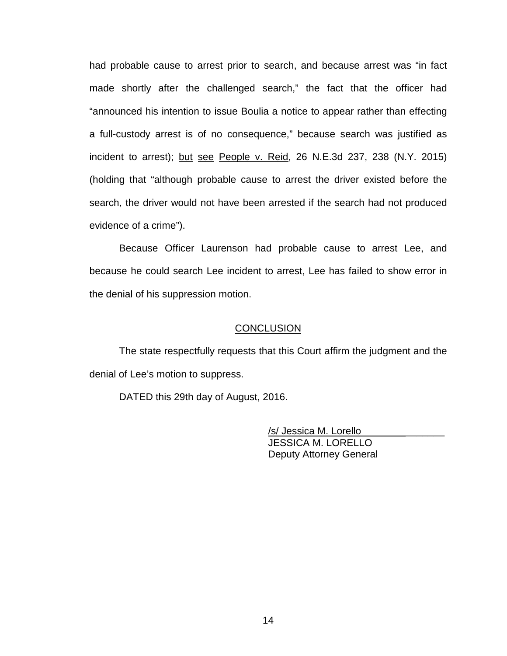had probable cause to arrest prior to search, and because arrest was "in fact made shortly after the challenged search," the fact that the officer had "announced his intention to issue Boulia a notice to appear rather than effecting a full-custody arrest is of no consequence," because search was justified as incident to arrest); but see People v. Reid, 26 N.E.3d 237, 238 (N.Y. 2015) (holding that "although probable cause to arrest the driver existed before the search, the driver would not have been arrested if the search had not produced evidence of a crime").

Because Officer Laurenson had probable cause to arrest Lee, and because he could search Lee incident to arrest, Lee has failed to show error in the denial of his suppression motion.

#### **CONCLUSION**

The state respectfully requests that this Court affirm the judgment and the denial of Lee's motion to suppress.

DATED this 29th day of August, 2016.

 /s/ Jessica M. Lorello\_\_\_\_\_\_\_\_\_\_\_\_\_\_\_ JESSICA M. LORELLO Deputy Attorney General